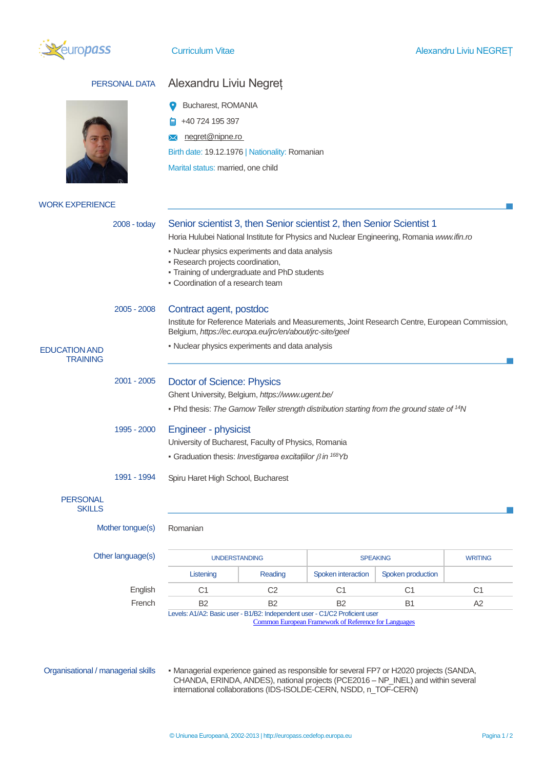

| PERSONAL DATA                           | Alexandru Liviu Negret                                                                                                                                                                                                                                                                                                                         |                |                                                      |                   |                |
|-----------------------------------------|------------------------------------------------------------------------------------------------------------------------------------------------------------------------------------------------------------------------------------------------------------------------------------------------------------------------------------------------|----------------|------------------------------------------------------|-------------------|----------------|
|                                         | Bucharest, ROMANIA<br>+40 724 195 397<br>negret@nipne.ro<br>Birth date: 19.12.1976   Nationality: Romanian<br>Marital status: married, one child                                                                                                                                                                                               |                |                                                      |                   |                |
| <b>WORK EXPERIENCE</b>                  |                                                                                                                                                                                                                                                                                                                                                |                |                                                      |                   |                |
| $2008 - today$                          | Senior scientist 3, then Senior scientist 2, then Senior Scientist 1<br>Horia Hulubei National Institute for Physics and Nuclear Engineering, Romania www.ifin.ro<br>• Nuclear physics experiments and data analysis<br>· Research projects coordination,<br>- Training of undergraduate and PhD students<br>• Coordination of a research team |                |                                                      |                   |                |
| 2005 - 2008                             | Contract agent, postdoc<br>Institute for Reference Materials and Measurements, Joint Research Centre, European Commission,<br>Belgium, https://ec.europa.eu/jrc/en/about/jrc-site/geel                                                                                                                                                         |                |                                                      |                   |                |
| <b>EDUCATION AND</b><br><b>TRAINING</b> | • Nuclear physics experiments and data analysis                                                                                                                                                                                                                                                                                                |                |                                                      |                   |                |
| 2001 - 2005                             | <b>Doctor of Science: Physics</b><br>Ghent University, Belgium, https://www.ugent.be/<br>• Phd thesis: The Gamow Teller strength distribution starting from the ground state of <sup>14</sup> N                                                                                                                                                |                |                                                      |                   |                |
| 1995 - 2000                             | <b>Engineer - physicist</b><br>University of Bucharest, Faculty of Physics, Romania<br>Graduation thesis: Investigarea excitatiilor $\beta$ in <sup>168</sup> Yb                                                                                                                                                                               |                |                                                      |                   |                |
| 1991 - 1994<br><b>PERSONAL</b>          | Spiru Haret High School, Bucharest                                                                                                                                                                                                                                                                                                             |                |                                                      |                   |                |
| <b>SKILLS</b><br>Mother tongue(s)       | Romanian                                                                                                                                                                                                                                                                                                                                       |                |                                                      |                   |                |
| Other language(s)                       | <b>UNDERSTANDING</b><br><b>SPEAKING</b>                                                                                                                                                                                                                                                                                                        |                | <b>WRITING</b>                                       |                   |                |
|                                         | Listening                                                                                                                                                                                                                                                                                                                                      | Reading        | Spoken interaction                                   | Spoken production |                |
| English                                 | C <sub>1</sub>                                                                                                                                                                                                                                                                                                                                 | C <sub>2</sub> | C <sub>1</sub>                                       | C <sub>1</sub>    | C <sub>1</sub> |
| French                                  | <b>B2</b>                                                                                                                                                                                                                                                                                                                                      | <b>B2</b>      | <b>B2</b>                                            | <b>B1</b>         | A2             |
|                                         | Levels: A1/A2: Basic user - B1/B2: Independent user - C1/C2 Proficient user                                                                                                                                                                                                                                                                    |                | Common European Framework of Reference for Languages |                   |                |

Organisational / managerial skills • Managerial experience gained as responsible for several FP7 or H2020 projects (SANDA, CHANDA, ERINDA, ANDES), national projects (PCE2016 – NP\_INEL) and within several international collaborations (IDS-ISOLDE-CERN, NSDD, n\_TOF-CERN)